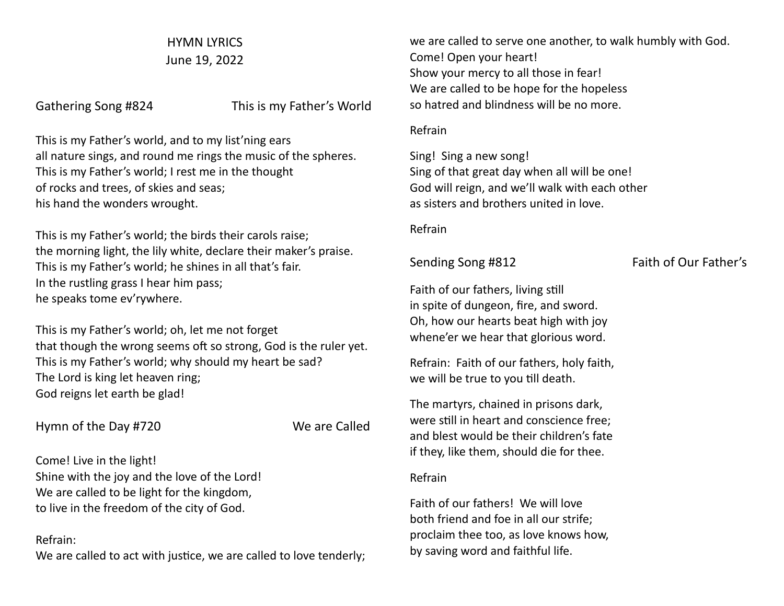# HYMN LYRICS June 19, 2022

Gathering Song #824 This is my Father's World

This is my Father's world, and to my list'ning ears all nature sings, and round me rings the music of the spheres. This is my Father's world; I rest me in the thought of rocks and trees, of skies and seas; his hand the wonders wrought.

This is my Father's world; the birds their carols raise; the morning light, the lily white, declare their maker's praise. This is my Father's world; he shines in all that's fair. In the rustling grass I hear him pass; he speaks tome ev'rywhere.

This is my Father's world; oh, let me not forget that though the wrong seems oft so strong, God is the ruler yet. This is my Father's world; why should my heart be sad? The Lord is king let heaven ring; God reigns let earth be glad!

Hymn of the Day #720 We are Called

Come! Live in the light! Shine with the joy and the love of the Lord! We are called to be light for the kingdom, to live in the freedom of the city of God.

# Refrain:

We are called to act with justice, we are called to love tenderly;

we are called to serve one another, to walk humbly with God. Come! Open your heart! Show your mercy to all those in fear! We are called to be hope for the hopeless so hatred and blindness will be no more.

### Refrain

Sing! Sing a new song! Sing of that great day when all will be one! God will reign, and we'll walk with each other as sisters and brothers united in love.

Refrain

# Sending Song #812 Faith of Our Father's

Faith of our fathers, living still in spite of dungeon, fire, and sword. Oh, how our hearts beat high with joy whene'er we hear that glorious word.

Refrain: Faith of our fathers, holy faith, we will be true to you till death.

The martyrs, chained in prisons dark, were still in heart and conscience free: and blest would be their children's fate if they, like them, should die for thee.

# Refrain

Faith of our fathers! We will love both friend and foe in all our strife; proclaim thee too, as love knows how, by saving word and faithful life.